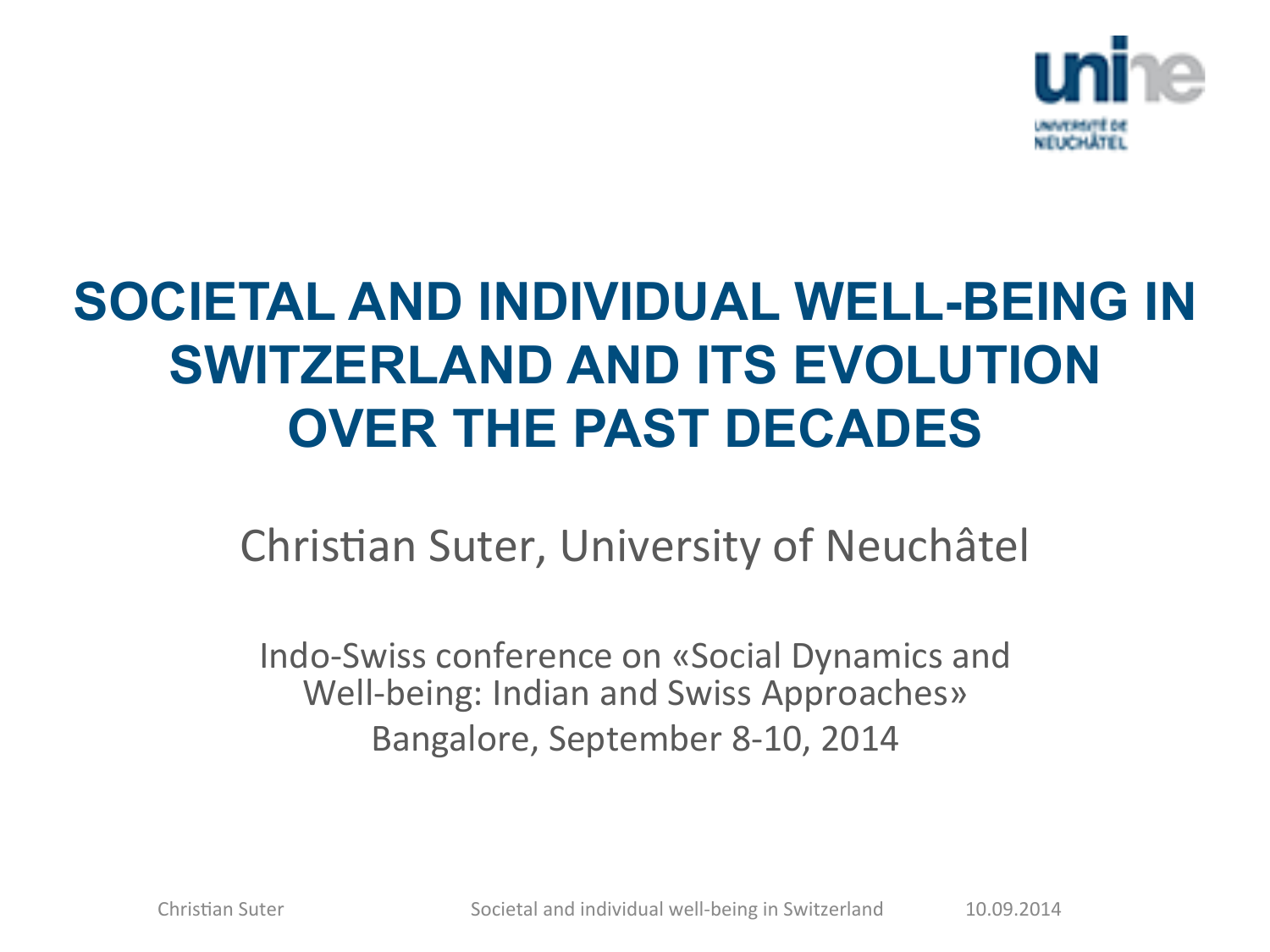

## **SOCIETAL AND INDIVIDUAL WELL-BEING IN SWITZERLAND AND ITS EVOLUTION OVER THE PAST DECADES**

Christian Suter, University of Neuchâtel

Indo-Swiss conference on «Social Dynamics and Well-being: Indian and Swiss Approaches» Bangalore, September 8-10, 2014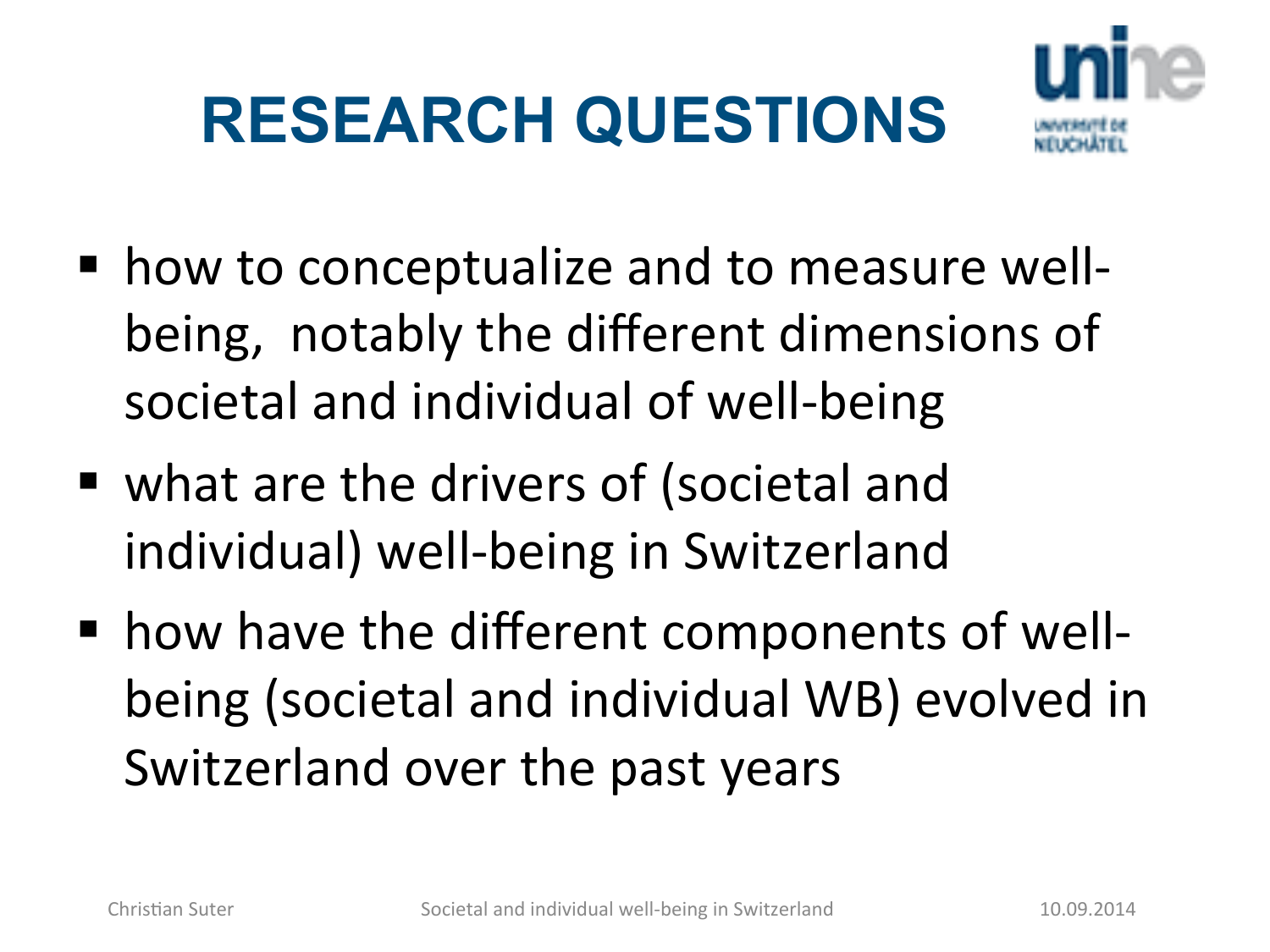# **RESEARCH QUESTIONS**



- how to conceptualize and to measure wellbeing, notably the different dimensions of societal and individual of well-being
- what are the drivers of (societal and individual) well-being in Switzerland
- how have the different components of wellbeing (societal and individual WB) evolved in Switzerland over the past years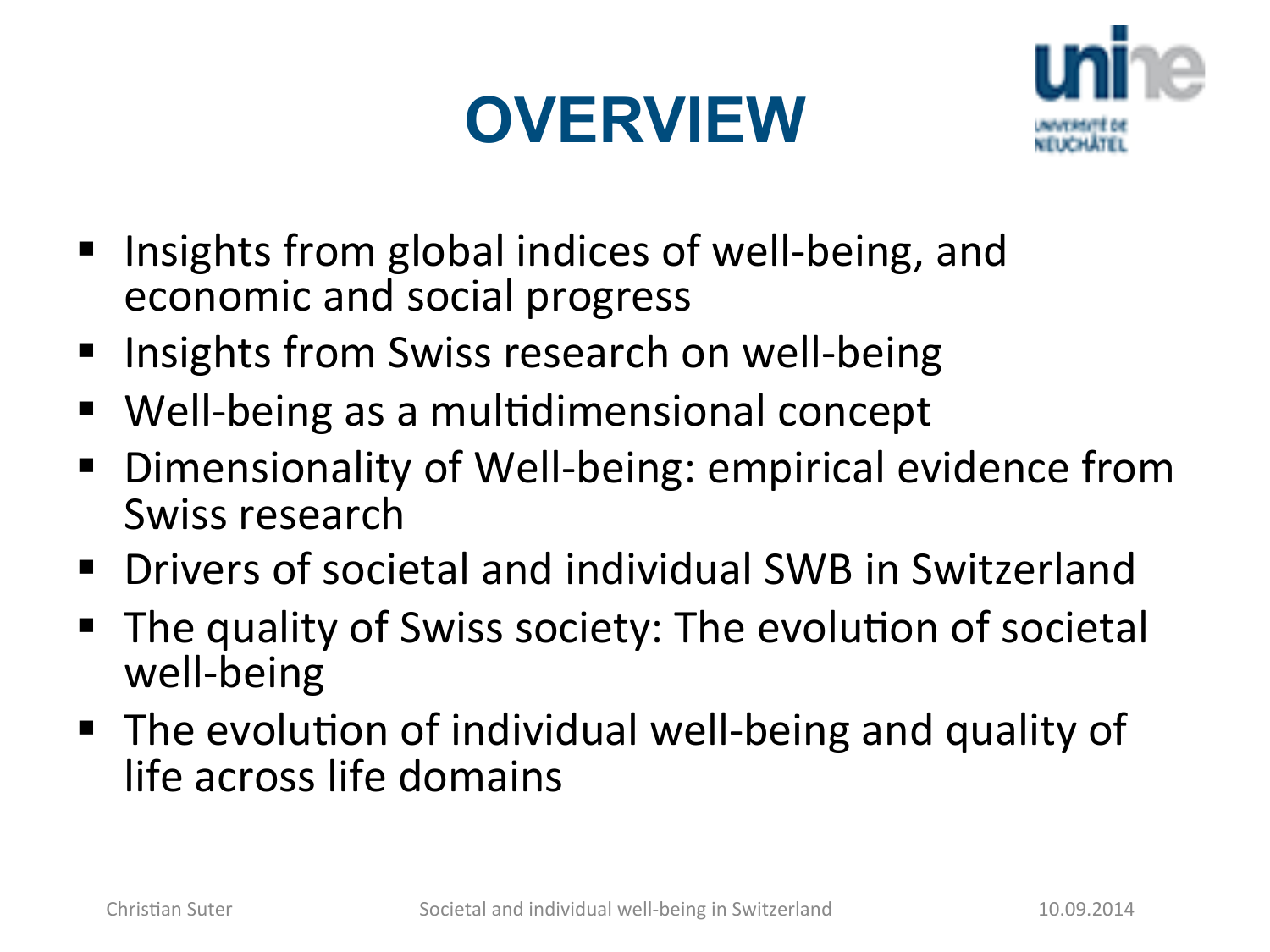# **OVERVIEW**



- Insights from global indices of well-being, and economic and social progress
- Insights from Swiss research on well-being
- Well-being as a multidimensional concept
- Dimensionality of Well-being: empirical evidence from Swiss research
- Drivers of societal and individual SWB in Switzerland
- The quality of Swiss society: The evolution of societal well-being
- The evolution of individual well-being and quality of life across life domains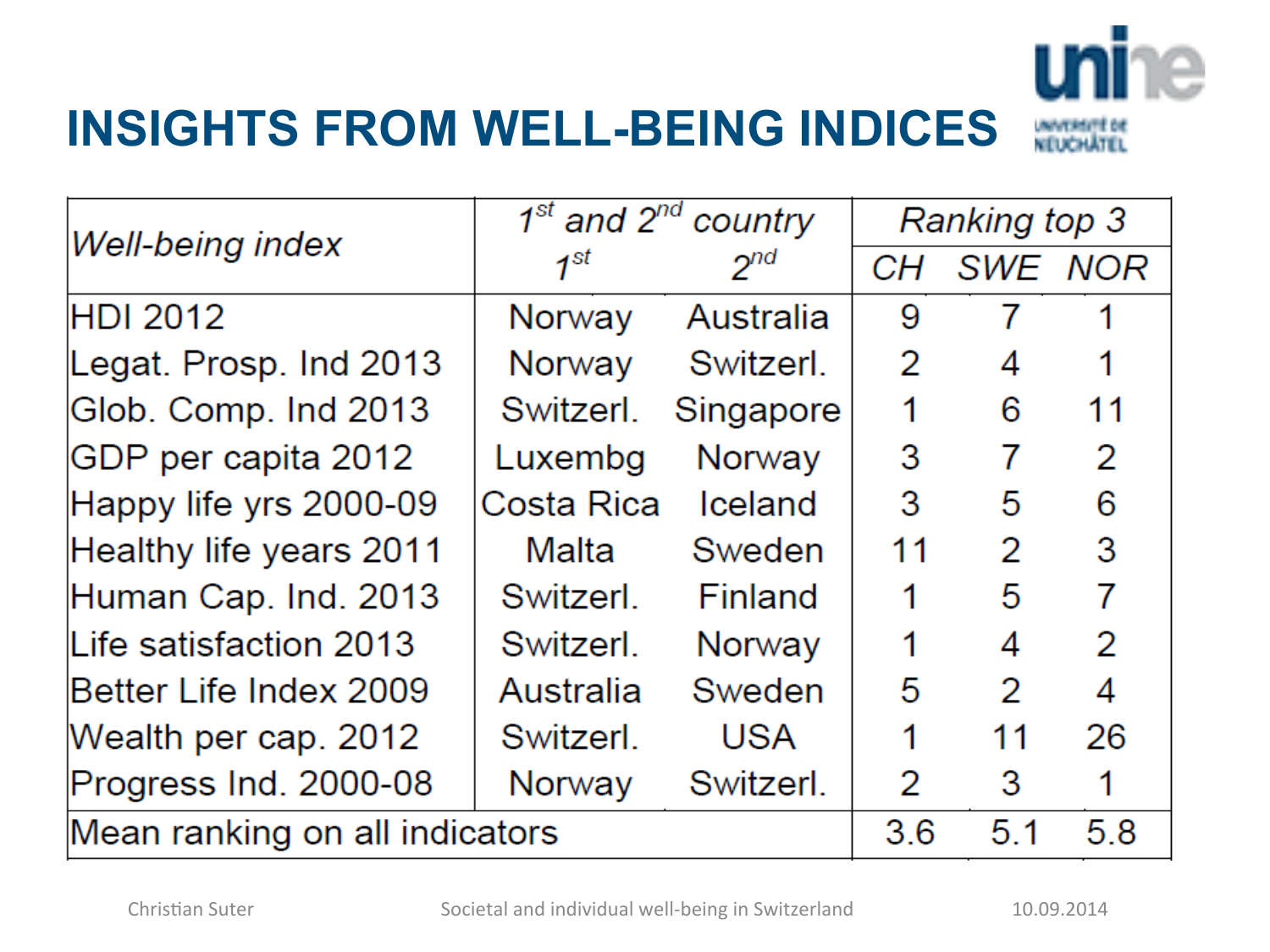### **INSIGHTS FROM WELL-BEING INDICES**

|                                | $1st$ and $2nd$ country | <b>Ranking top 3</b> |     |                |    |
|--------------------------------|-------------------------|----------------------|-----|----------------|----|
| <b>Well-being index</b>        | 1 <sup>st</sup>         | $2^{nd}$             | CН  | <b>SWE NOR</b> |    |
| <b>HDI 2012</b>                | Norway                  | Australia            | 9   |                |    |
| Legat. Prosp. Ind 2013         | Norway                  | Switzerl.            | 2   | 4              |    |
| Glob. Comp. Ind 2013           | Switzerl.               | Singapore            | 1   | 6              | 11 |
| GDP per capita 2012            | Luxembg                 | Norway               | 3   | 7              | 2  |
| Happy life yrs 2000-09         | Costa Rica              | Iceland              | 3   | 5              | 6  |
| Healthy life years 2011        | Malta                   | Sweden               | 11  | 2              | 3  |
| Human Cap. Ind. 2013           | Switzerl.               | Finland              |     | 5              | 7  |
| Life satisfaction 2013         | Switzerl.               | Norway               |     | 4              | 2  |
| Better Life Index 2009         | Australia               | Sweden               | 5   | 2              | 4  |
| Wealth per cap. 2012           | Switzerl.               | <b>USA</b>           | 1   | 11             | 26 |
| Progress Ind. 2000-08          | Norway                  | Switzerl.            | 2   | 3              | 1  |
| Mean ranking on all indicators | 3.6                     | 5.1                  | 5.8 |                |    |

U

UNIVERSITÉ DE NEUCHÂTEL e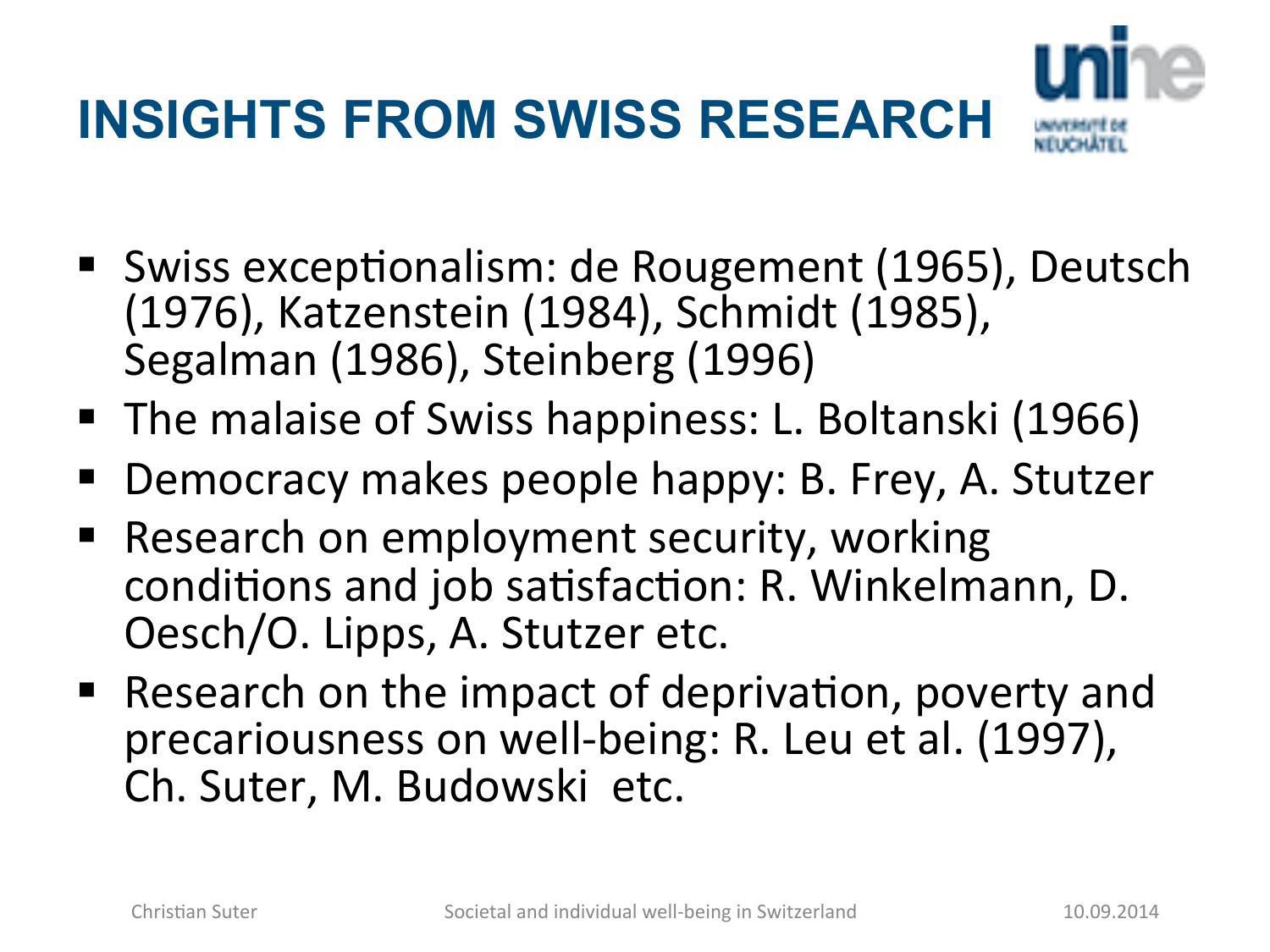# **INSIGHTS FROM SWISS RESEARCH**

- Swiss exceptionalism: de Rougement (1965), Deutsch (1976), Katzenstein (1984), Schmidt (1985), Segalman (1986), Steinberg (1996)
- The malaise of Swiss happiness: L. Boltanski (1966)
- Democracy makes people happy: B. Frey, A. Stutzer
- Research on employment security, working conditions and job satisfaction: R. Winkelmann, D. Oesch/O. Lipps, A. Stutzer etc.
- Research on the impact of deprivation, poverty and precariousness on well-being: R. Leu et al. (1997), Ch. Suter, M. Budowski etc.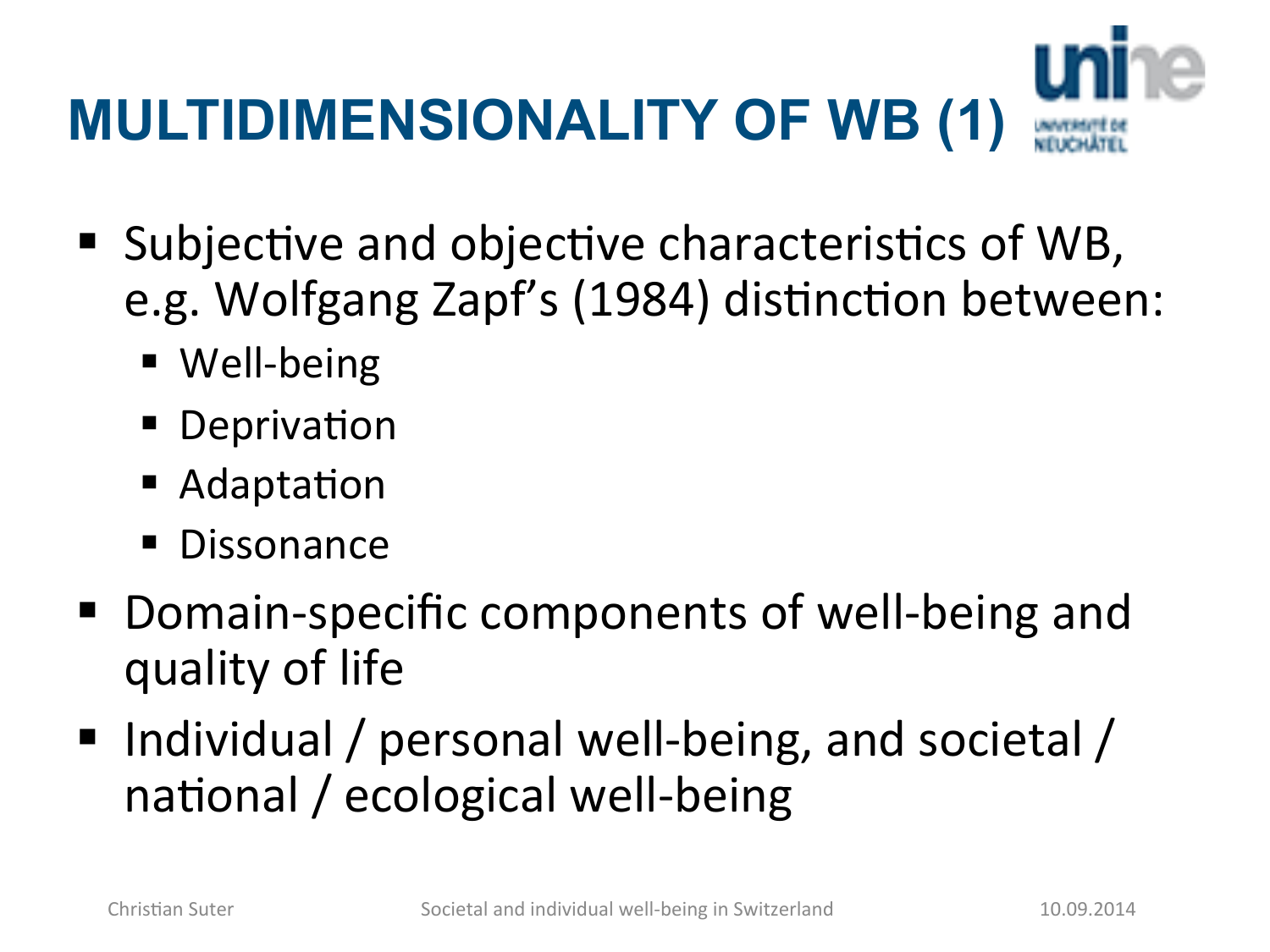

- Subjective and objective characteristics of WB, e.g. Wolfgang Zapf's (1984) distinction between:
	- Well-being
	- **Deprivation**
	- Adaptation
	- **Dissonance**
- Domain-specific components of well-being and quality of life
- $\blacksquare$  Individual / personal well-being, and societal / national / ecological well-being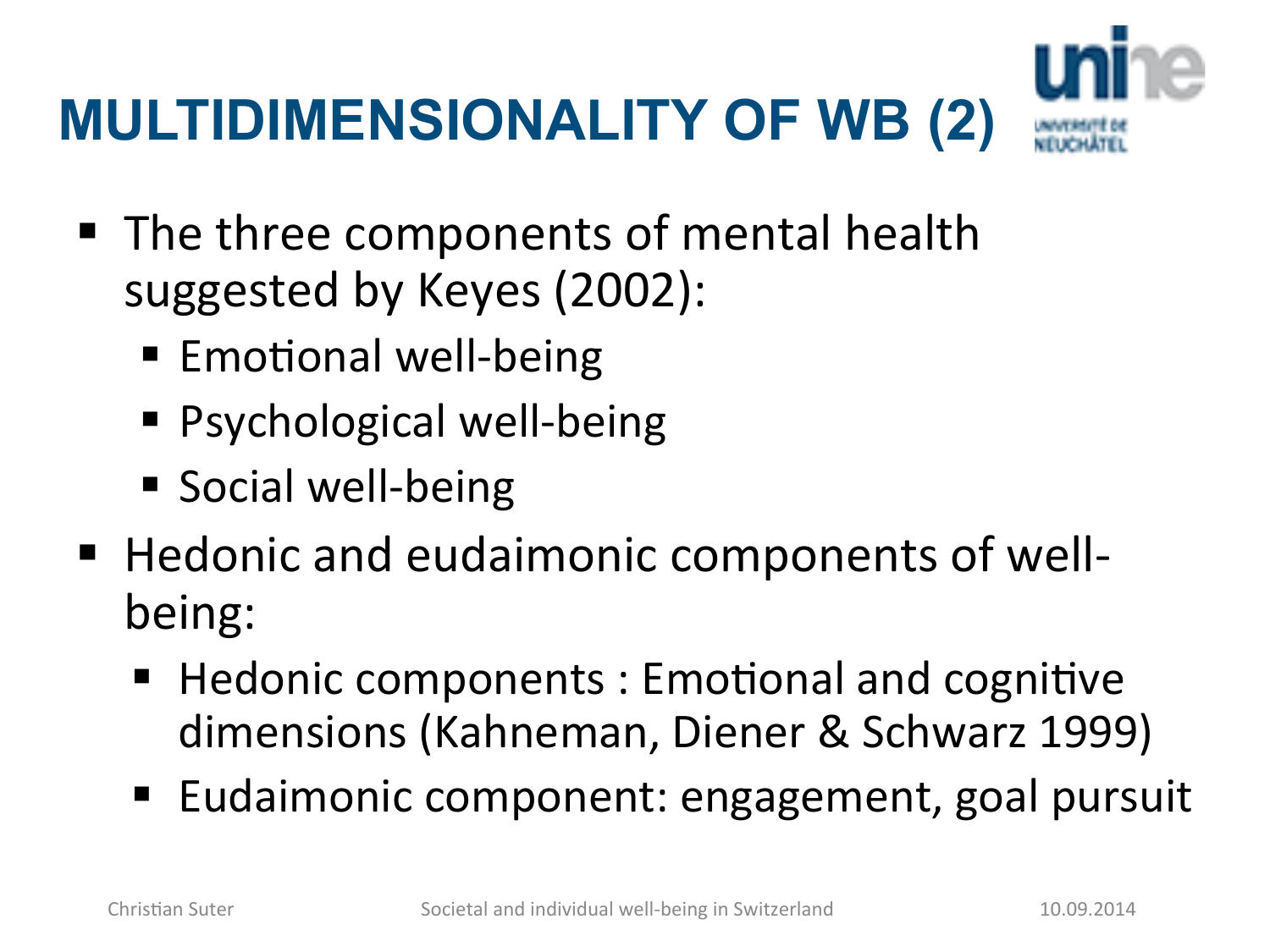



- The three components of mental health suggested by Keyes (2002):
	- Emotional well-being
	- Psychological well-being
	- Social well-being
- Hedonic and eudaimonic components of wellbeing:
	- Hedonic components : Emotional and cognitive dimensions (Kahneman, Diener & Schwarz 1999)
	- Eudaimonic component: engagement, goal pursuit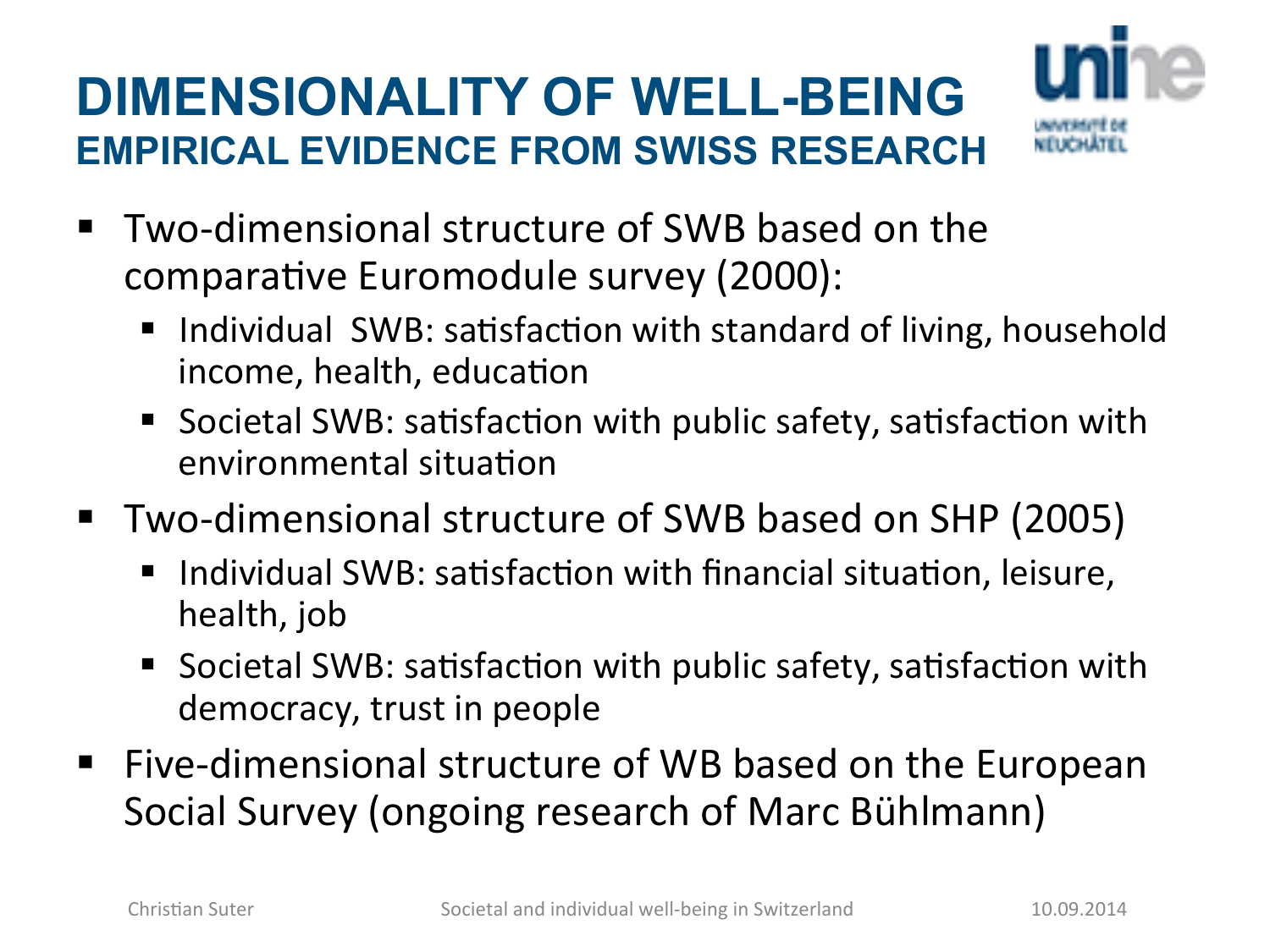#### **DIMENSIONALITY OF WELL-BEING EMPIRICAL EVIDENCE FROM SWISS RESEARCH**



- Two-dimensional structure of SWB based on the comparative Euromodule survey (2000):
	- Individual SWB: satisfaction with standard of living, household income, health, education
	- Societal SWB: satisfaction with public safety, satisfaction with environmental situation
- Two-dimensional structure of SWB based on SHP (2005)
	- Individual SWB: satisfaction with financial situation, leisure, health, job
	- Societal SWB: satisfaction with public safety, satisfaction with democracy, trust in people
- Five-dimensional structure of WB based on the European Social Survey (ongoing research of Marc Bühlmann)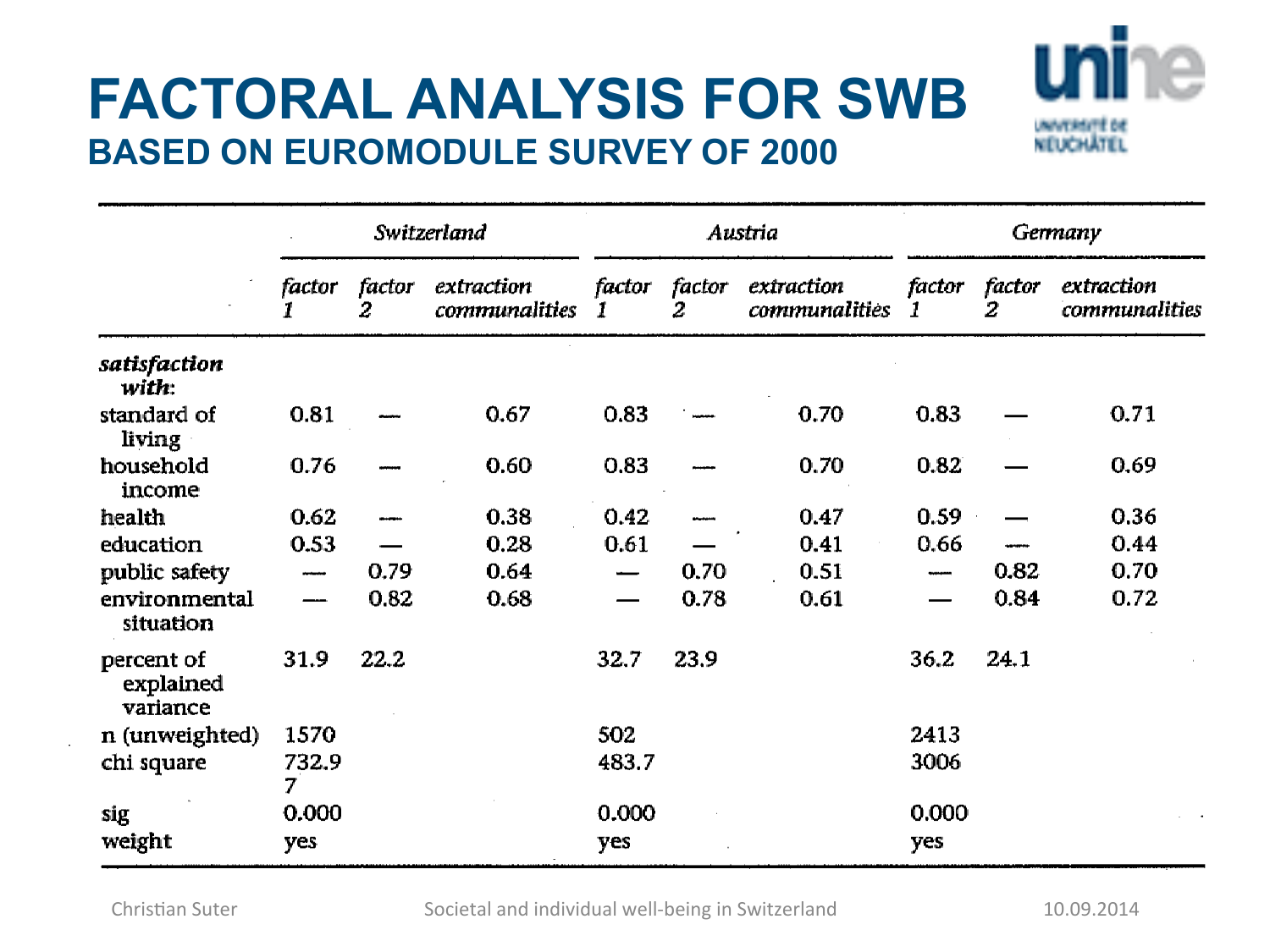#### **FACTORAL ANALYSIS FOR SWB BASED ON EUROMODULE SURVEY OF 2000**



|                                     | Switzerland |             | Austria                     |             |             | Germany                     |             |             |                             |
|-------------------------------------|-------------|-------------|-----------------------------|-------------|-------------|-----------------------------|-------------|-------------|-----------------------------|
|                                     | factor      | factor<br>2 | extraction<br>communalities | factor<br>1 | factor<br>2 | extraction<br>communalities | factor<br>1 | factor<br>2 | extraction<br>communalities |
| satisfaction<br>with:               |             |             |                             |             |             |                             |             |             |                             |
| standard of<br>living               | 0.81        |             | 0.67                        | 0.83        |             | 0.70                        | 0.83        |             | 0.71                        |
| household<br>income                 | 0.76        |             | 0.60                        | 0.83        |             | 0.70                        | 0.82        |             | 0.69                        |
| health                              | 0.62        |             | 0.38                        | 0.42        |             | 0.47                        | 0.59        |             | 0.36                        |
| education                           | 0.53        |             | 0.28                        | 0.61        |             | 0.41                        | 0.66        |             | 0.44                        |
| public safety                       |             | 0.79        | 0.64                        |             | 0.70        | 0.51                        |             | 0.82        | 0.70                        |
| environmental<br>situation          |             | 0.82        | 0.68                        |             | 0.78        | 0.61                        |             | 0.84        | 0.72                        |
| percent of<br>explained<br>variance | 31.9        | 22.2        |                             | 32.7        | 23.9        |                             | 36.2        | 24.1        |                             |
| n (unweighted)                      | 1570        |             |                             | 502         |             |                             | 2413        |             |                             |
| chi square                          | 732.9<br>7  |             |                             | 483.7       |             |                             | 3006        |             |                             |
| sig                                 | 0.000       |             |                             | 0.000       |             |                             | 0.000       |             |                             |
| weight                              | yes         |             |                             | yes         |             |                             | yes         |             |                             |

Christian Suter **10.09.2014** Societal and individual well-being in Switzerland **10.09.2014**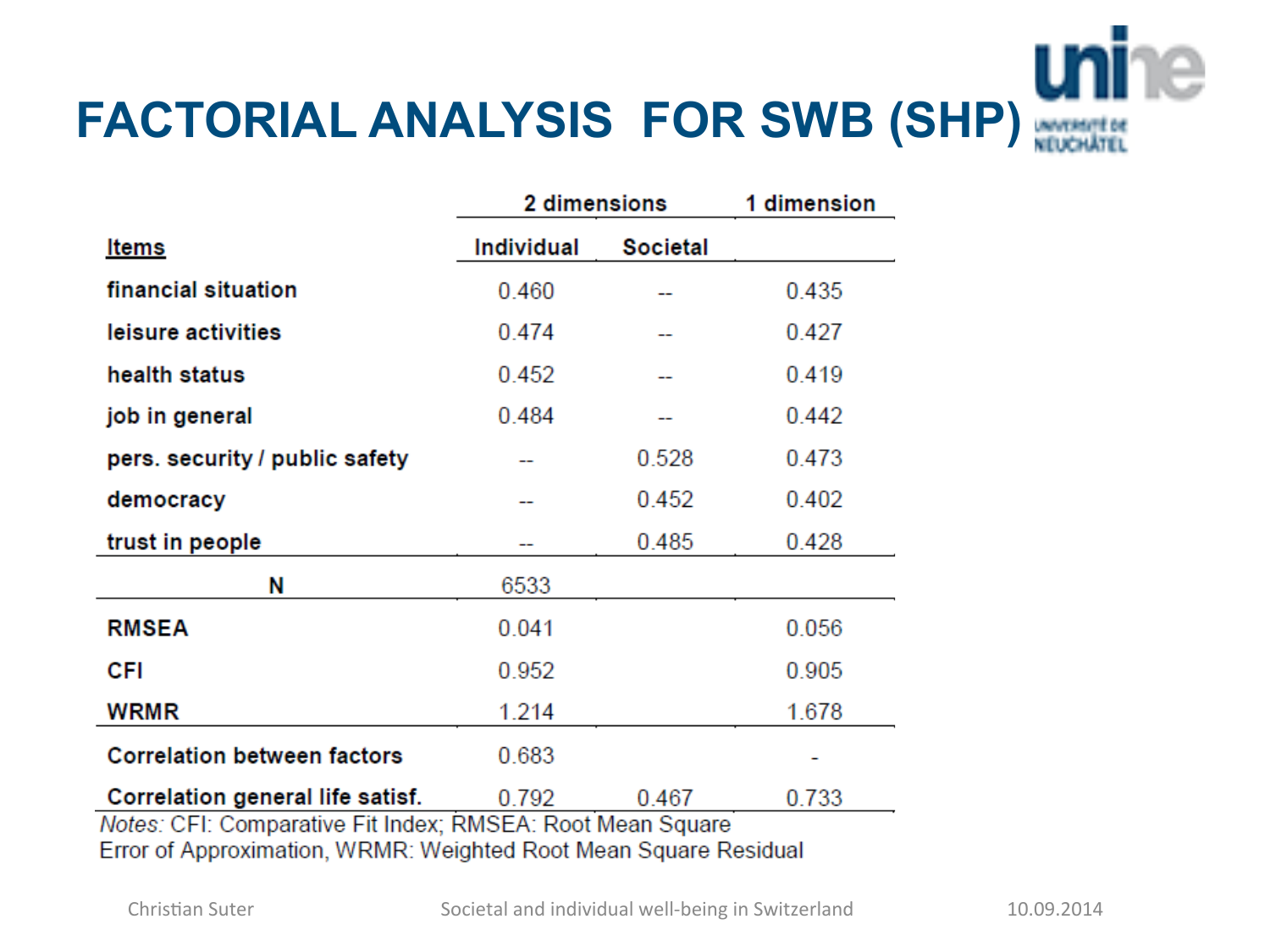# **FACTORIAL ANALYSIS FOR SWB (SHP)**

|                                                            | 2 dimensions      |                 | 1 dimension |  |  |
|------------------------------------------------------------|-------------------|-----------------|-------------|--|--|
| <u>Items</u>                                               | <b>Individual</b> | <b>Societal</b> |             |  |  |
| financial situation                                        | 0.460             |                 | 0.435       |  |  |
| leisure activities                                         | 0.474             |                 | 0.427       |  |  |
| health status                                              | 0.452             |                 | 0.419       |  |  |
| job in general                                             | 0.484             |                 | 0.442       |  |  |
| pers. security / public safety                             |                   | 0.528           | 0.473       |  |  |
| democracy                                                  |                   | 0.452           | 0.402       |  |  |
| trust in people                                            |                   | 0.485           | 0.428       |  |  |
| Ν                                                          | 6533              |                 |             |  |  |
| <b>RMSEA</b>                                               | 0.041             |                 | 0.056       |  |  |
| CFI                                                        | 0.952             |                 | 0.905       |  |  |
| <b>WRMR</b>                                                | 1.214             |                 | 1.678       |  |  |
| <b>Correlation between factors</b>                         | 0.683             |                 |             |  |  |
| Correlation general life satisf.                           | 0.792             | 0.467           | 0.733       |  |  |
| Notes: CFI: Comparative Fit Index; RMSEA: Root Mean Square |                   |                 |             |  |  |

Error of Approximation, WRMR: Weighted Root Mean Square Residual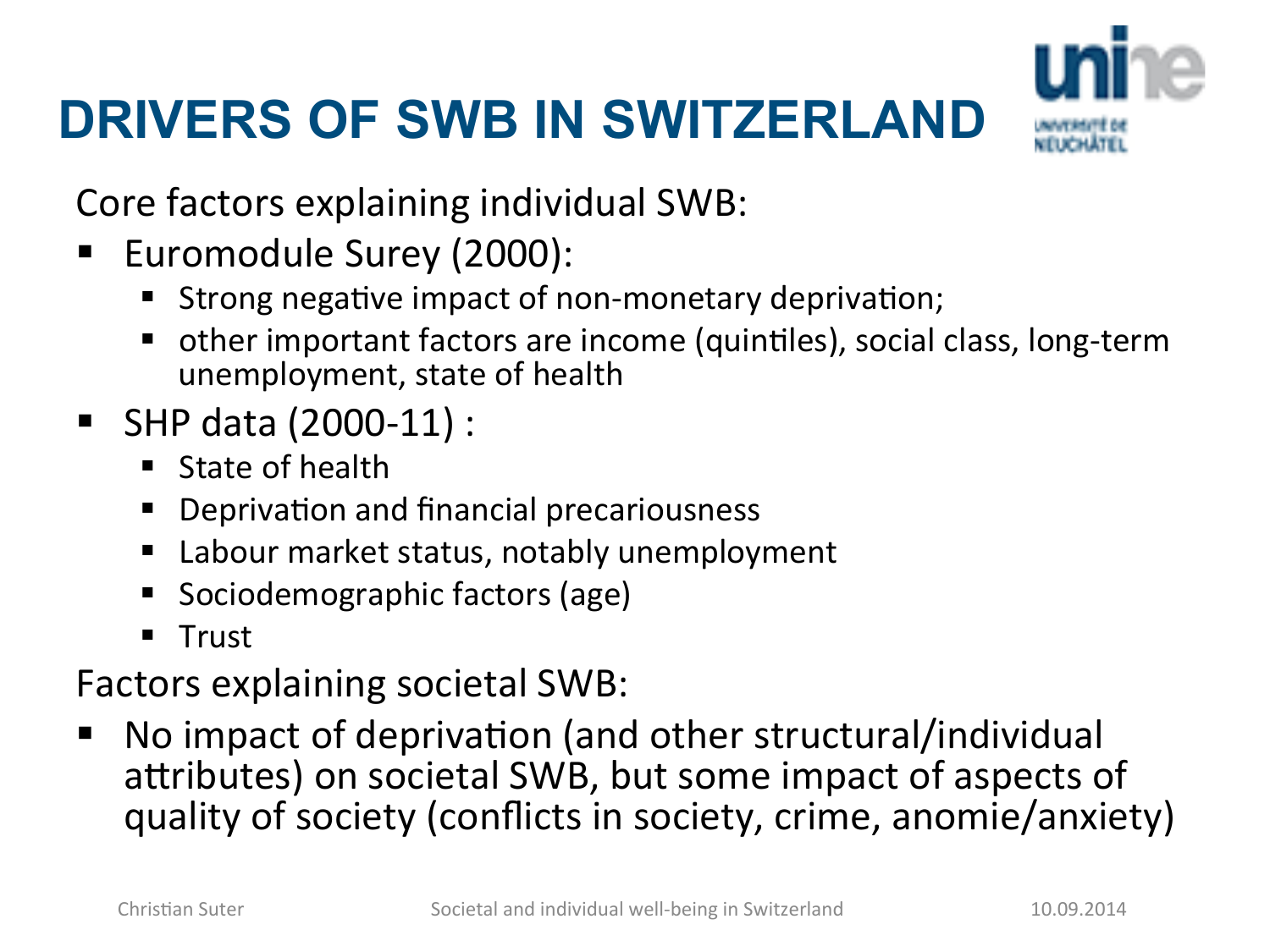## **DRIVERS OF SWB IN SWITZERLAND**



Core factors explaining individual SWB:

- Euromodule Surey (2000):
	- Strong negative impact of non-monetary deprivation;
	- other important factors are income (quintiles), social class, long-term unemployment, state of health
- $\blacksquare$  SHP data (2000-11) :
	- State of health
	- Deprivation and financial precariousness
	- Labour market status, notably unemployment
	- Sociodemographic factors (age)
	- Trust

Factors explaining societal SWB:

No impact of deprivation (and other structural/individual attributes) on societal SWB, but some impact of aspects of quality of society (conflicts in society, crime, anomie/anxiety)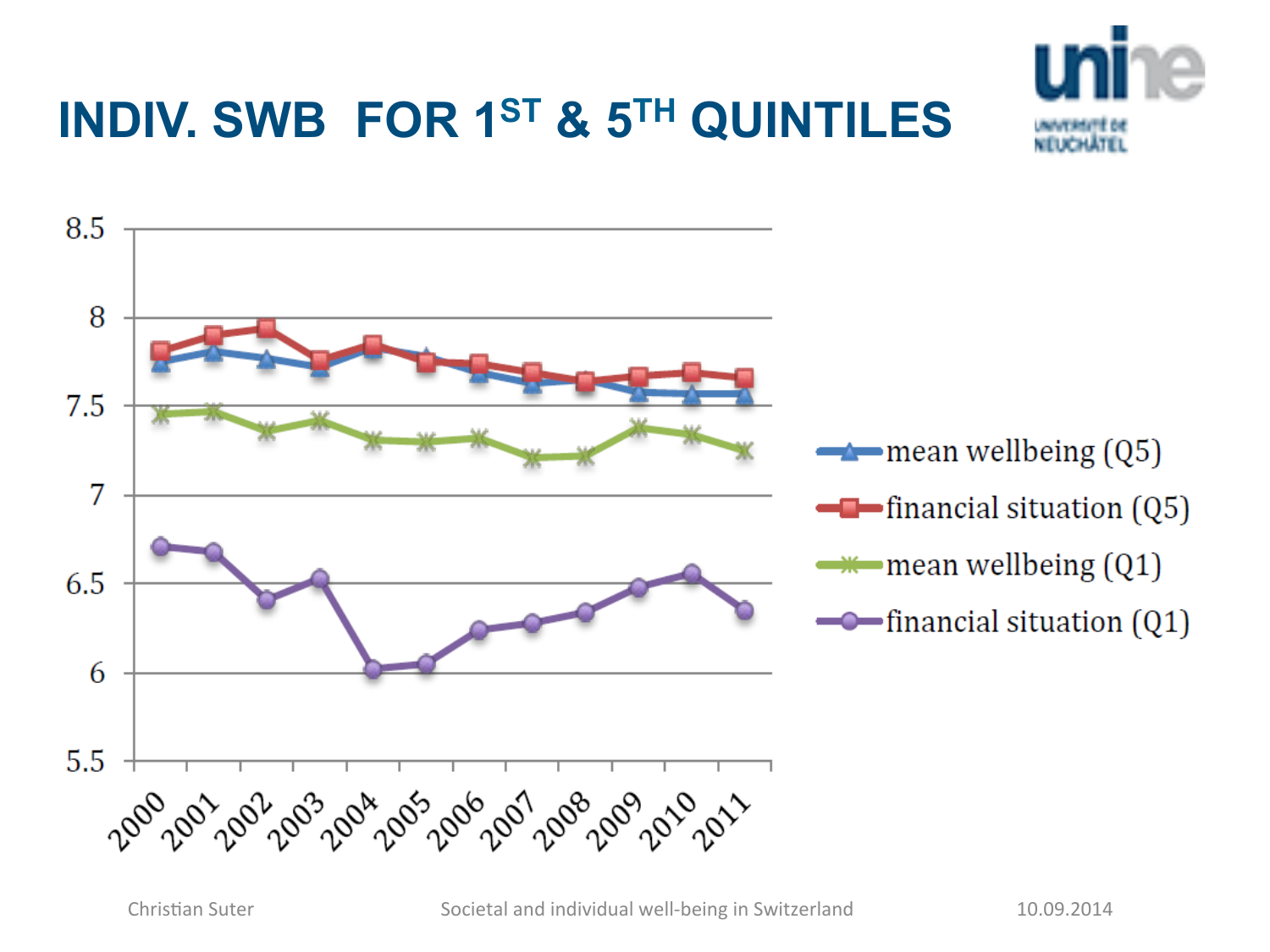

#### **INDIV. SWB FOR 1ST & 5TH QUINTILES**

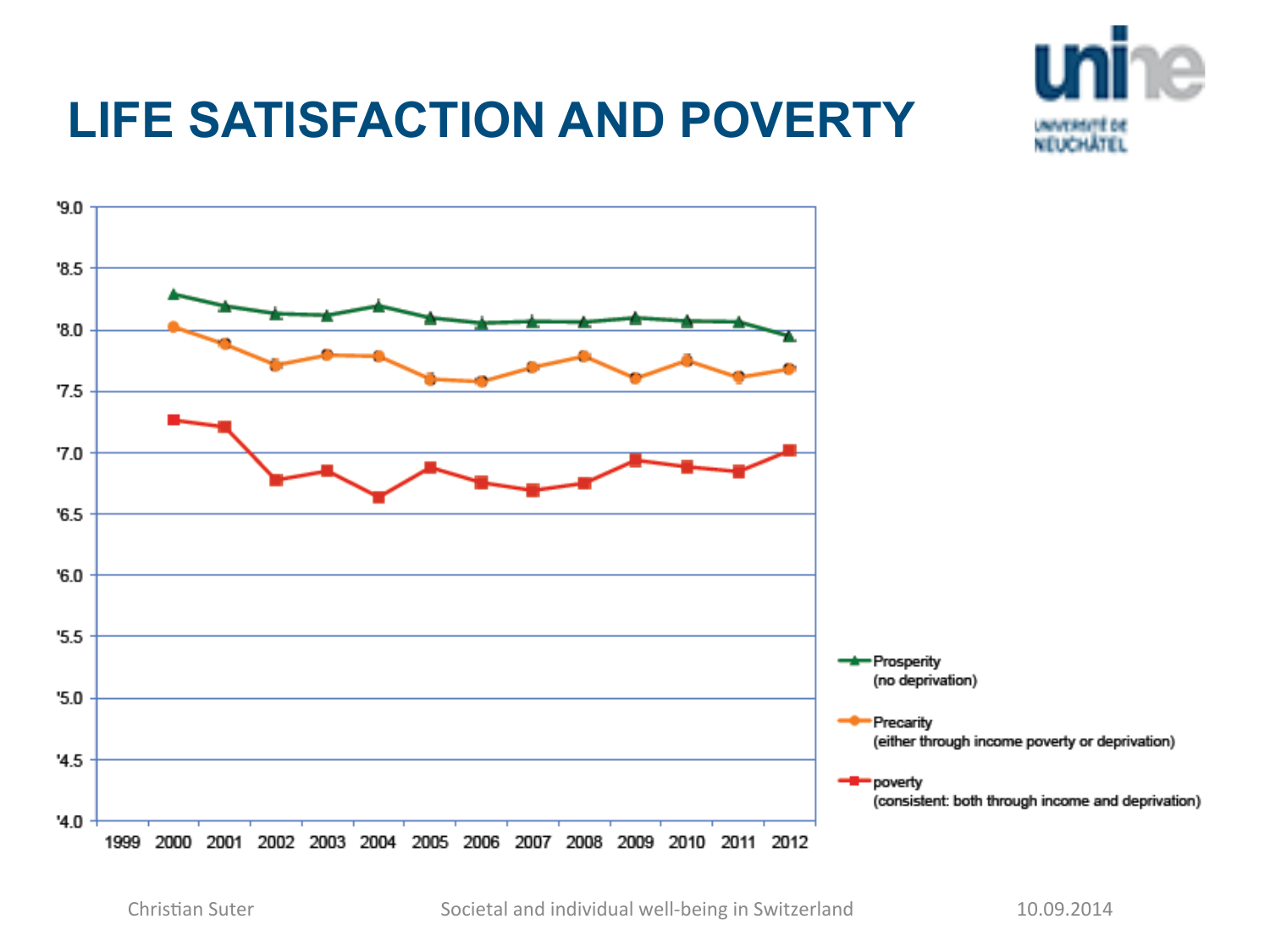

#### **LIFE SATISFACTION AND POVERTY**

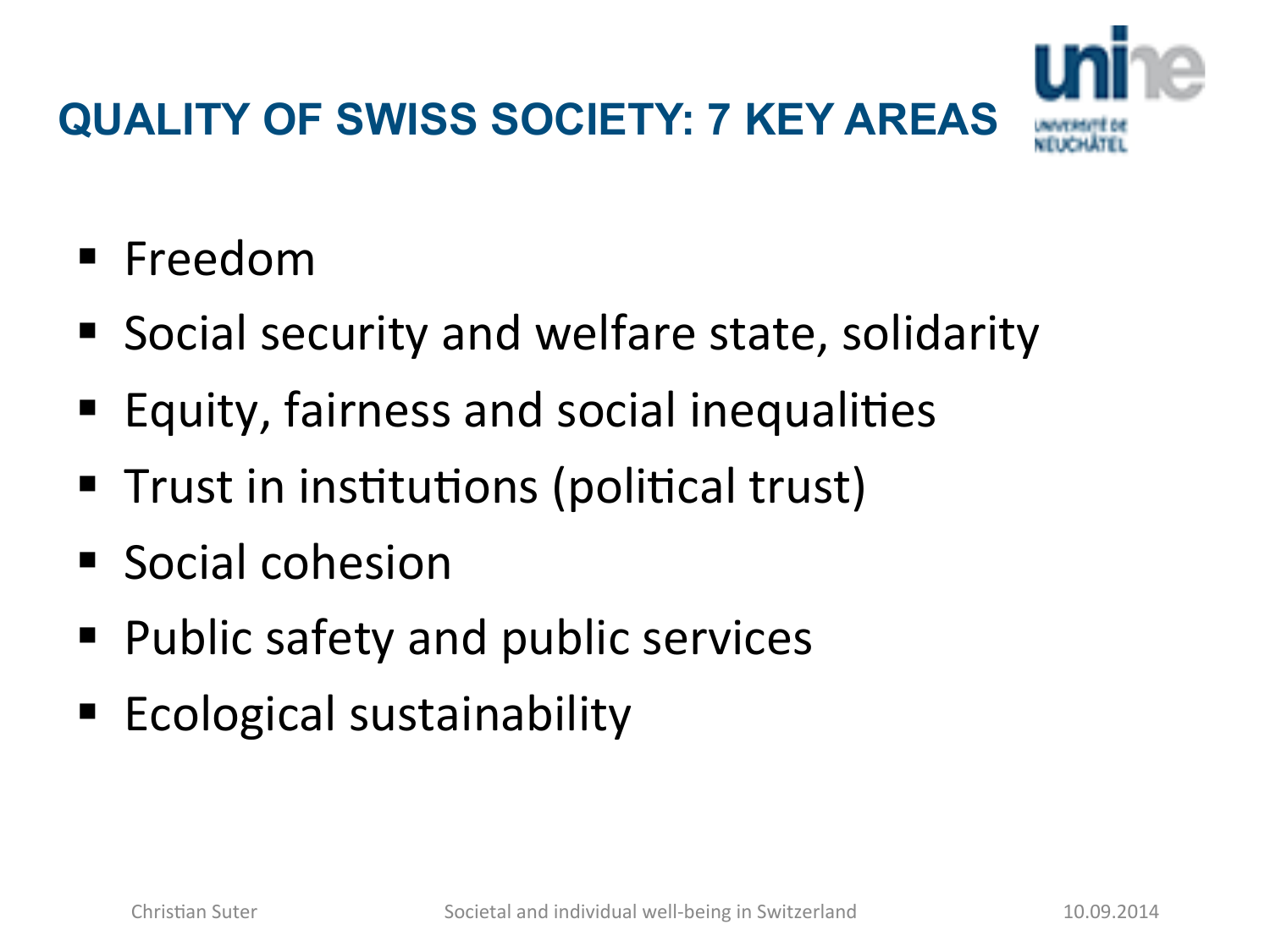

- § Freedom
- Social security and welfare state, solidarity
- Equity, fairness and social inequalities
- Trust in institutions (political trust)
- Social cohesion
- Public safety and public services
- Ecological sustainability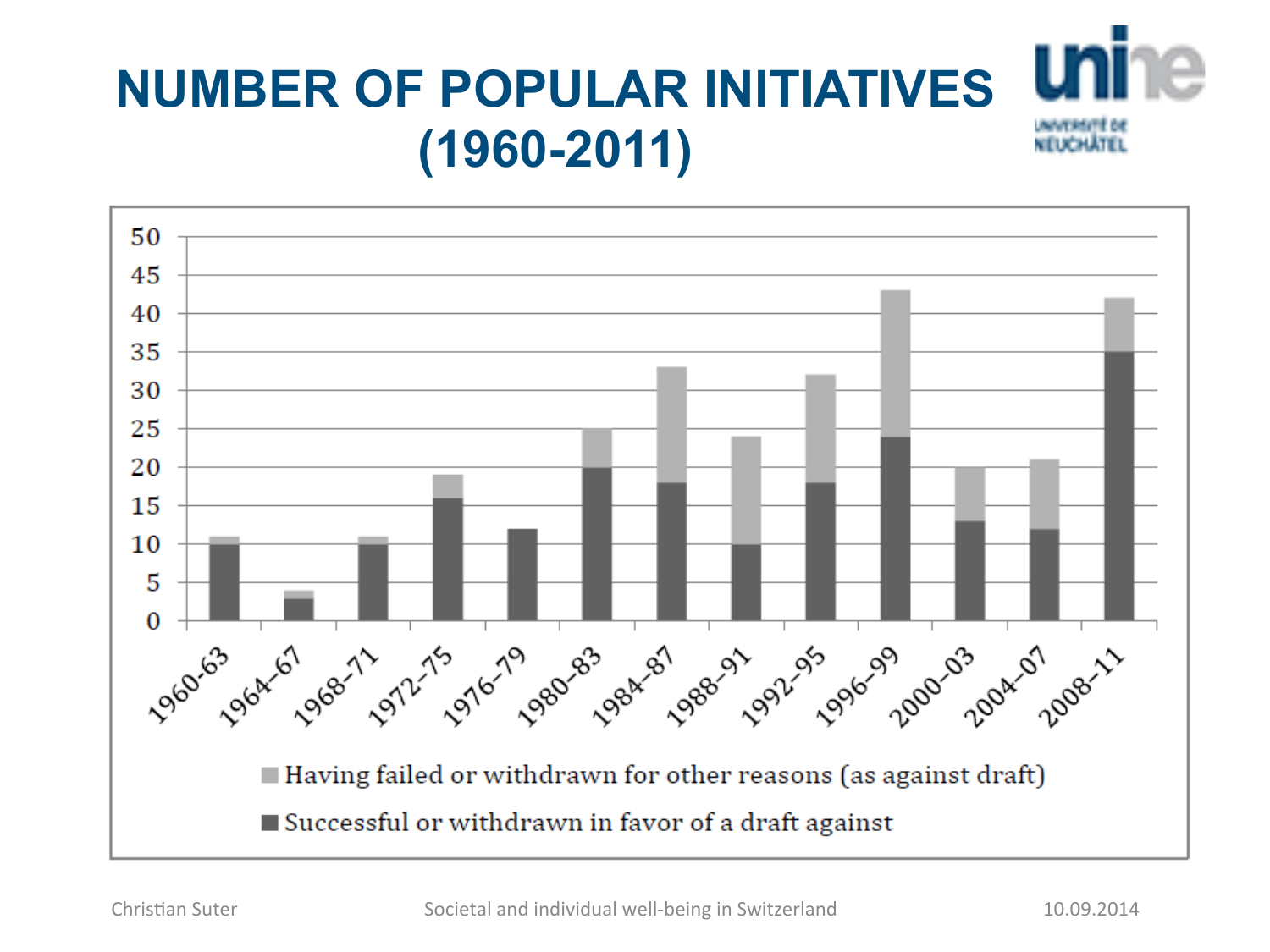#### **NUMBER OF POPULAR INITIATIVES (1960-2011)** NEUCHÂTEI

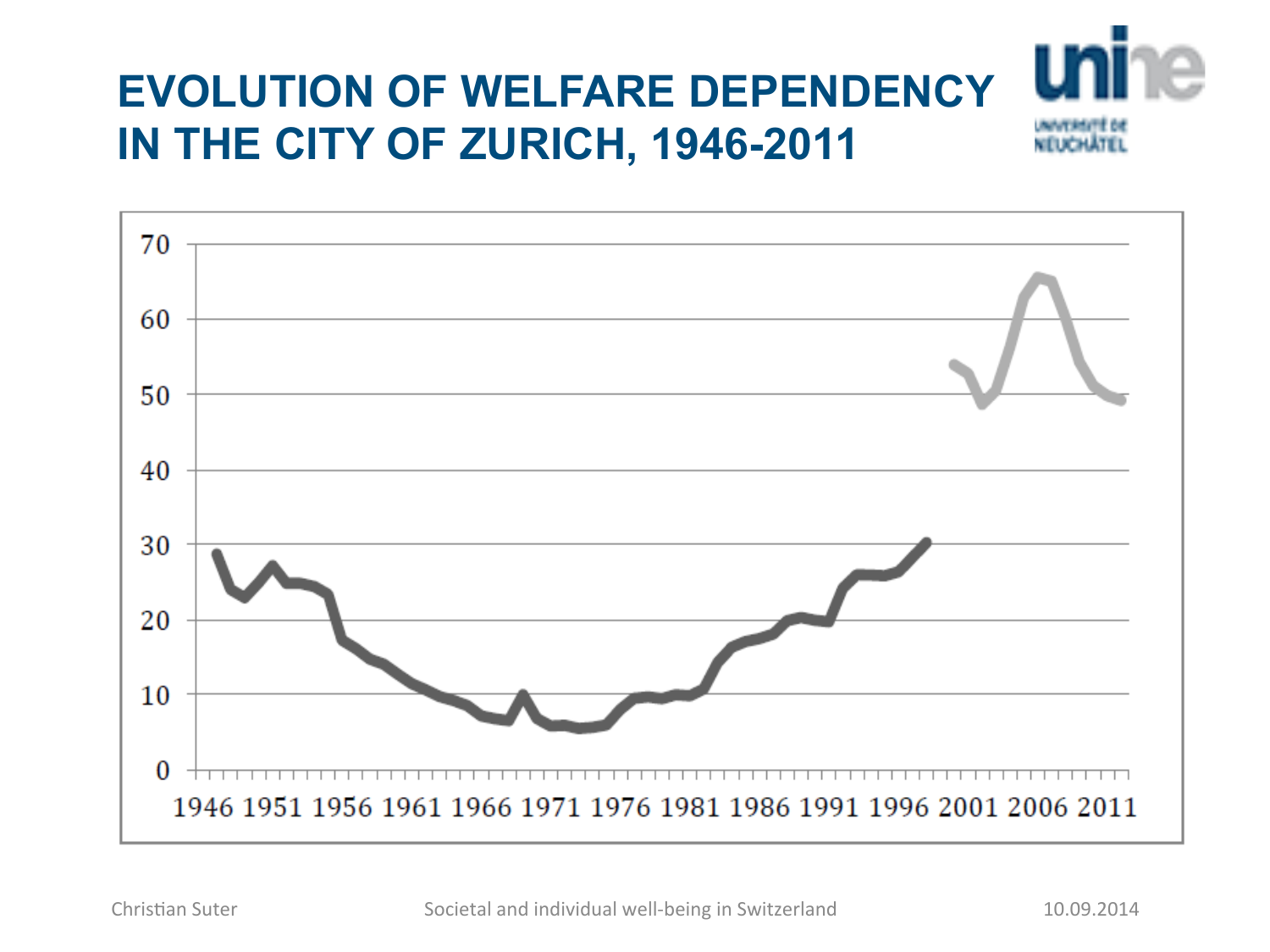#### **EVOLUTION OF WELFARE DEPENDENCY IN THE CITY OF ZURICH, 1946-2011** NEUCHÂTE

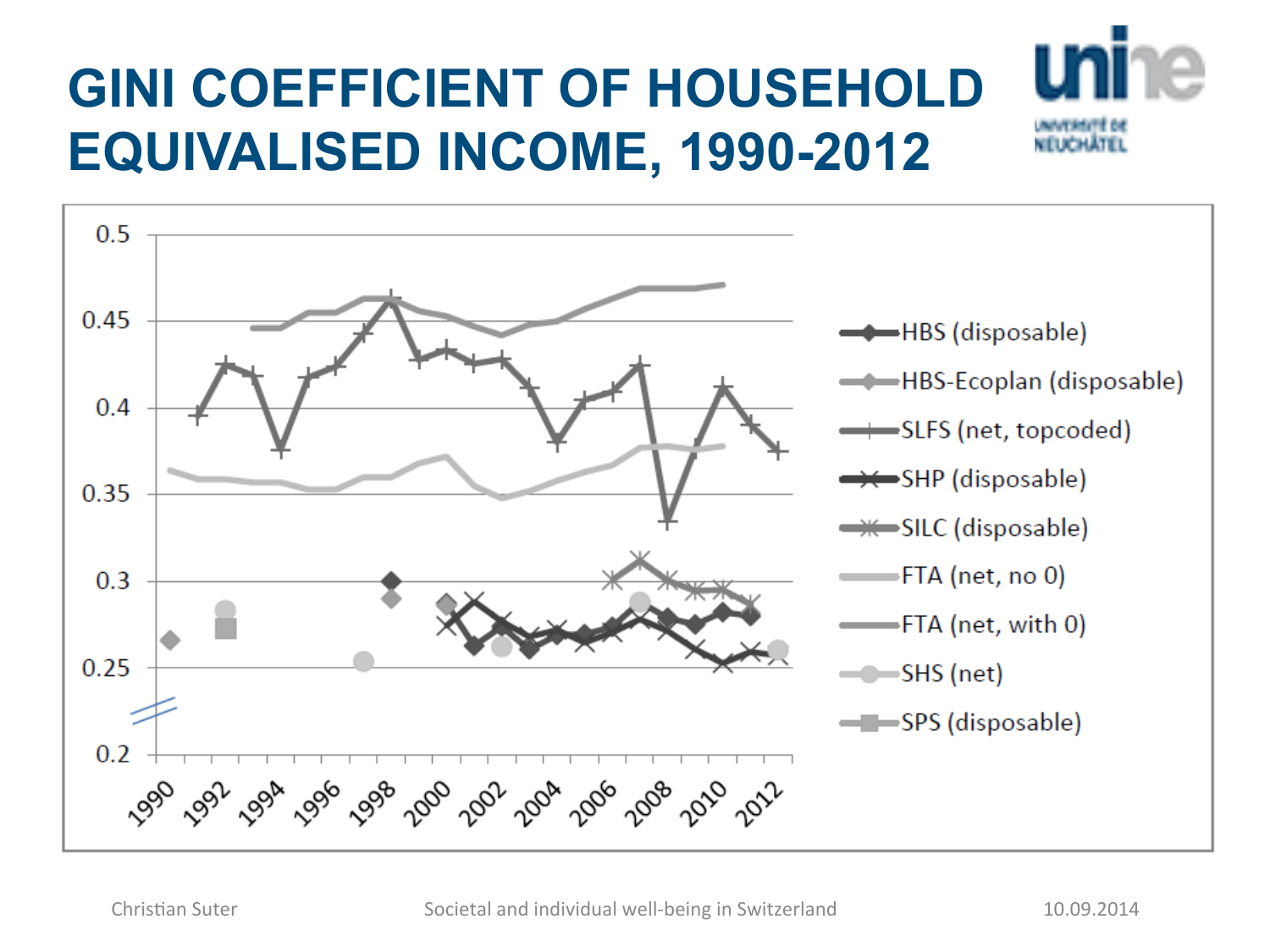## **GINI COEFFICIENT OF HOUSEHOLD EQUIVALISED INCOME, 1990-2012**



LNAVERHUTE OI NEUCHÂTEL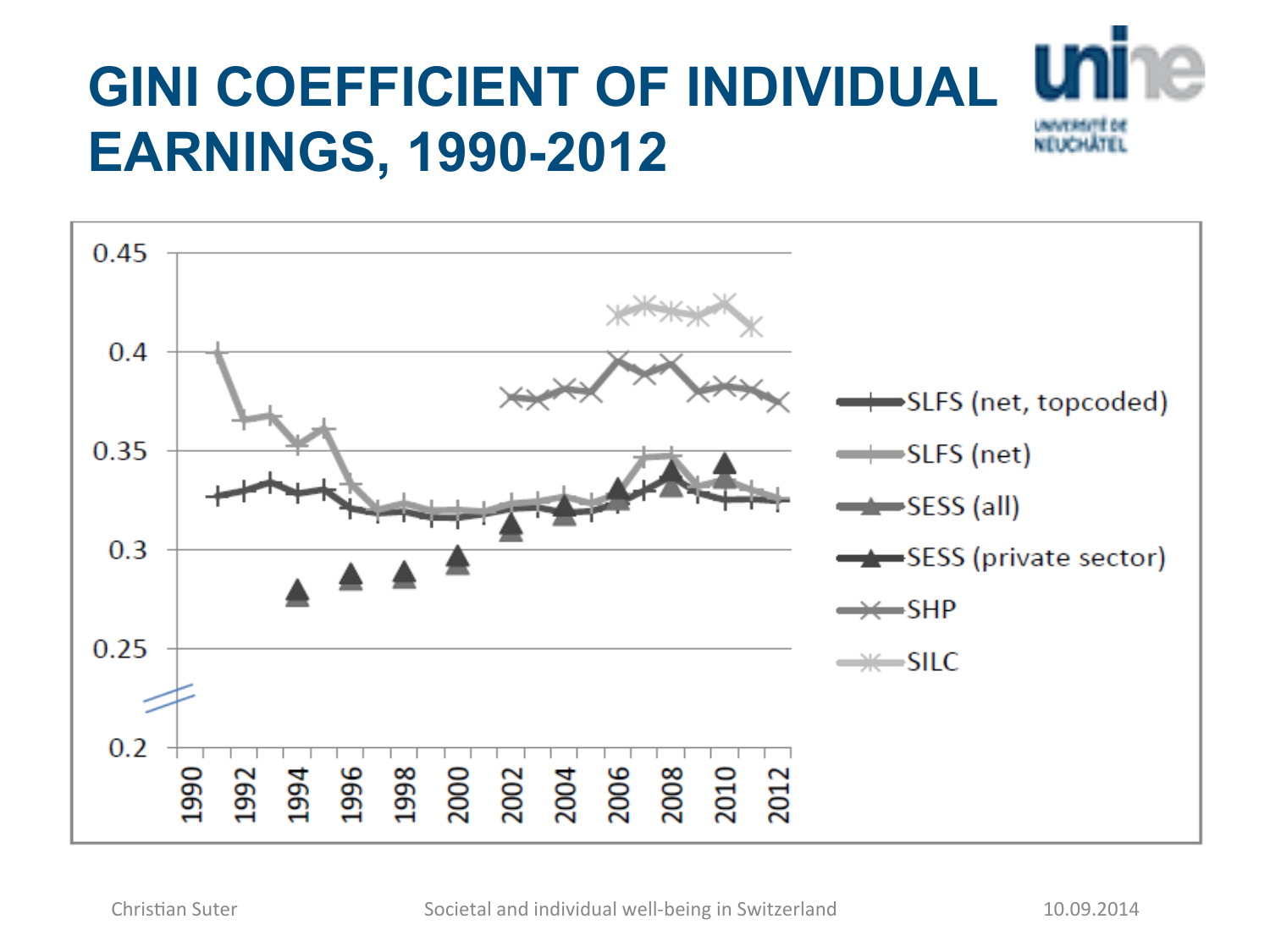#### **GINI COEFFICIENT OF INDIVIDUAL EARNINGS, 1990-2012** NEUCHÂTEI

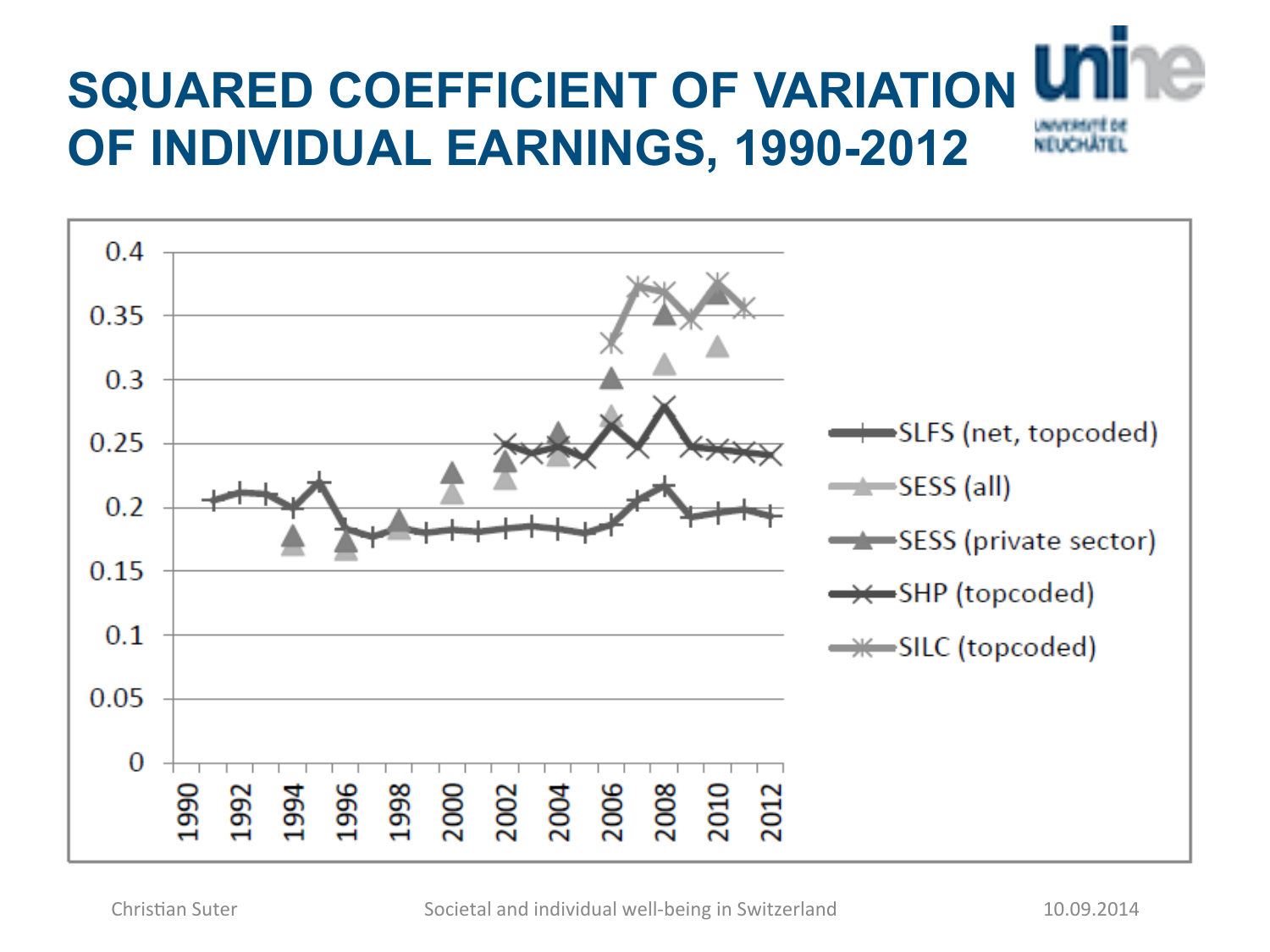#### **SQUARED COEFFICIENT OF VARIATION INVESTITÉ DI OF INDIVIDUAL EARNINGS, 1990-2012** NEUCHÂTEL

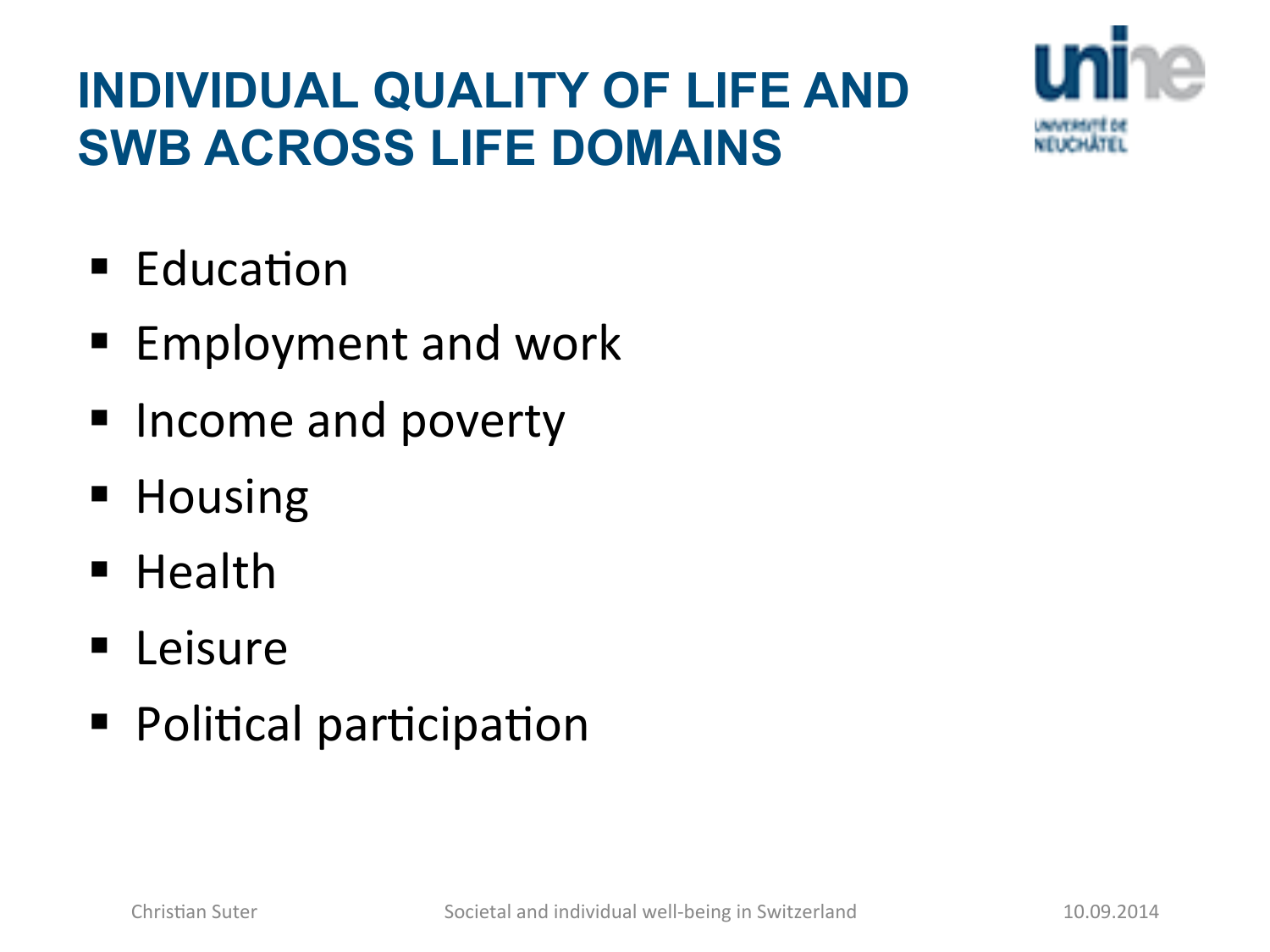### **INDIVIDUAL QUALITY OF LIFE AND SWB ACROSS LIFE DOMAINS**



- $\blacksquare$  Education
- Employment and work
- Income and poverty
- Housing
- § Health
- Leisure
- Political participation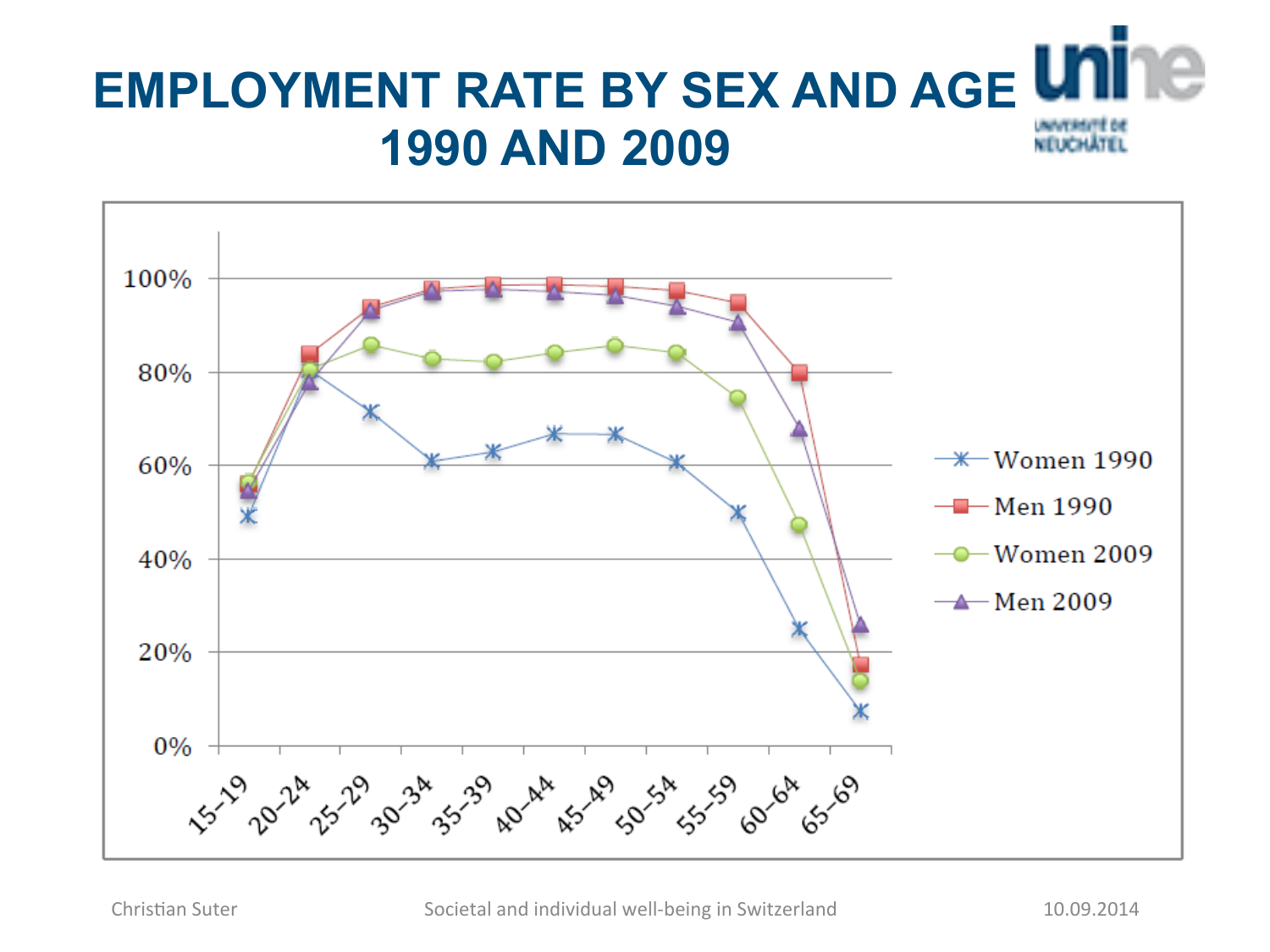#### **EMPLOYMENT RATE BY SEX AND AGE UNIVERSITÉ DE 1990 AND 2009** NEUCHÂTEI

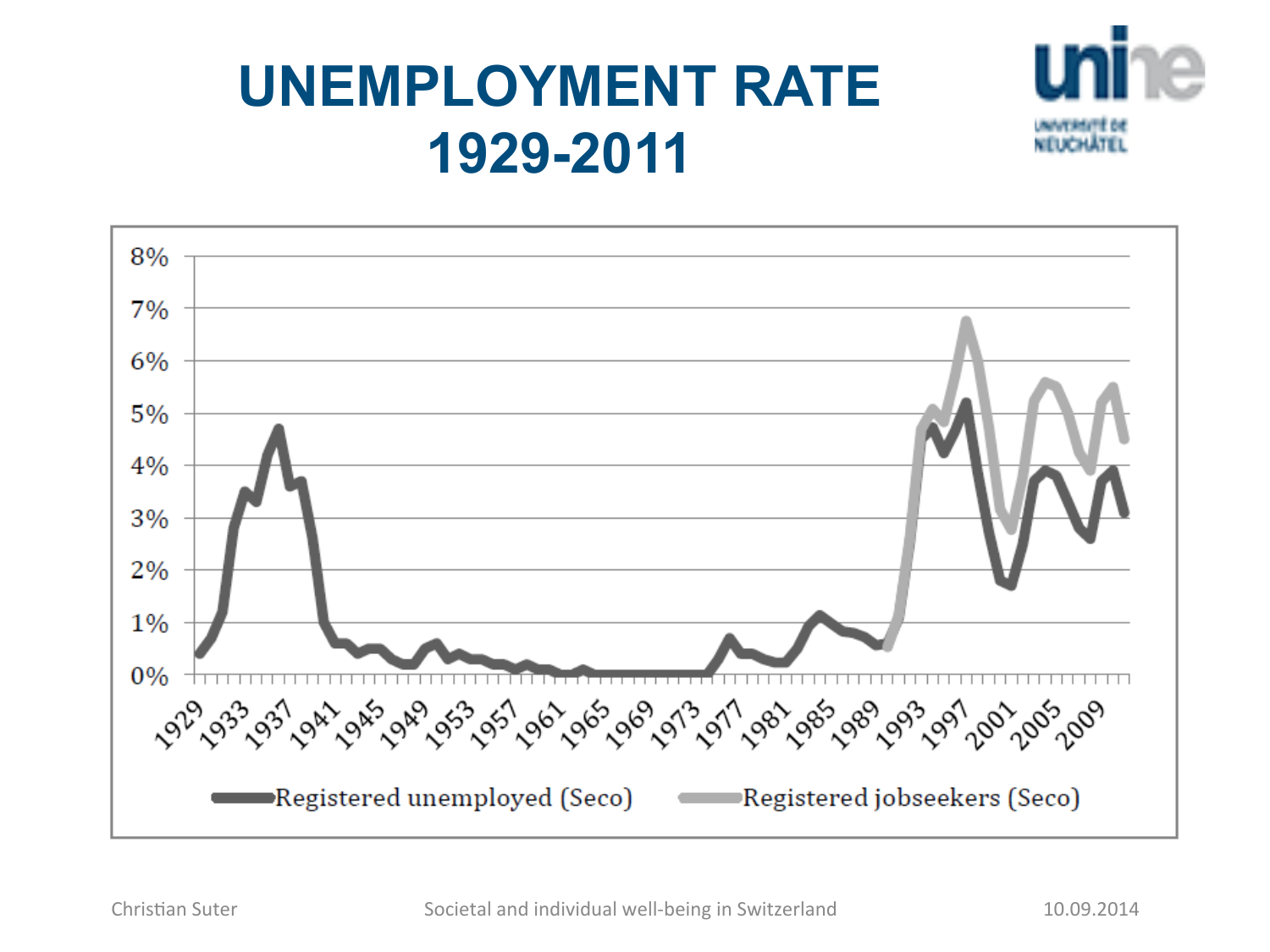## **UNEMPLOYMENT RATE 1929-2011**



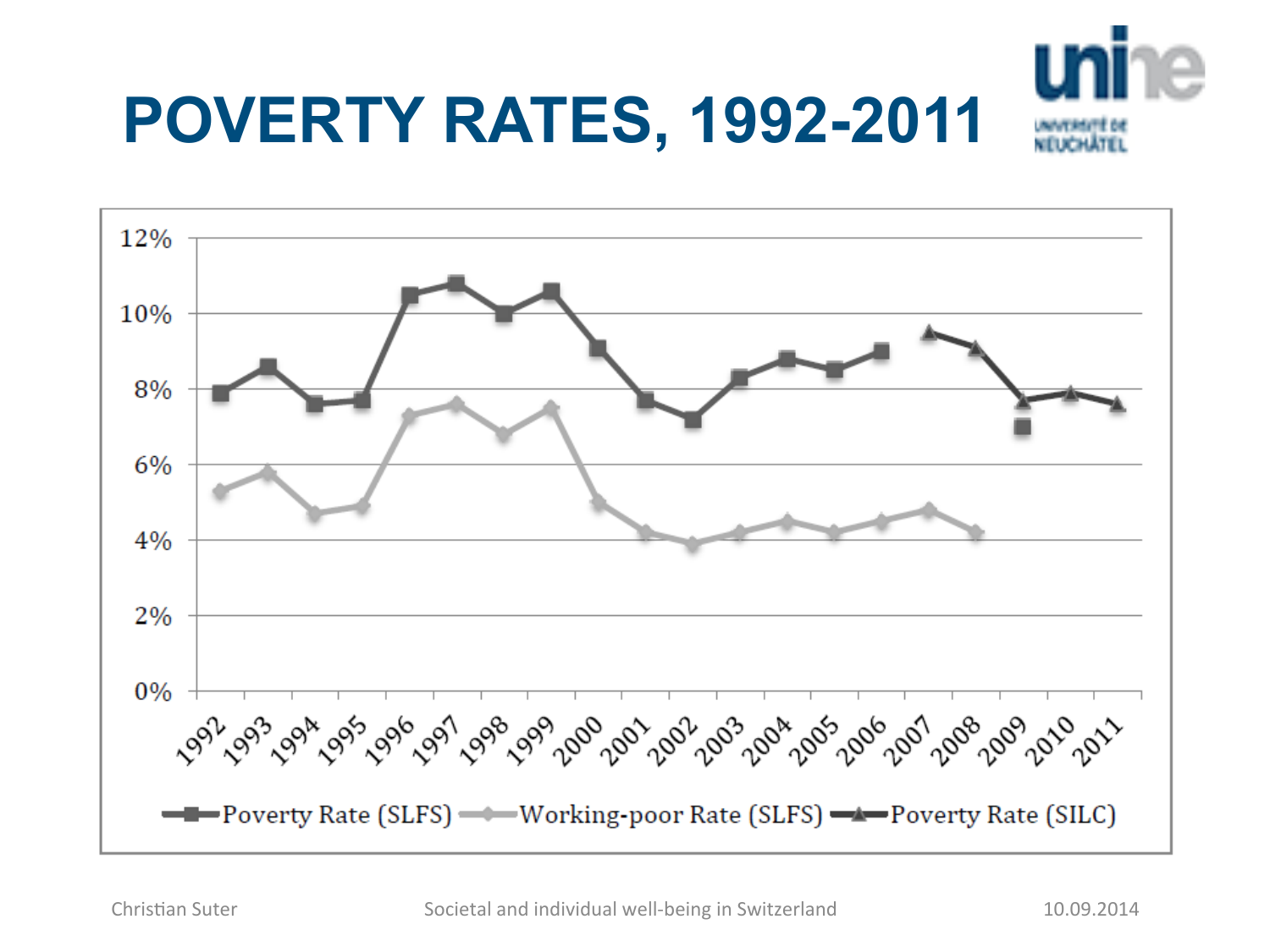

# **POVERTY RATES, 1992-2011**

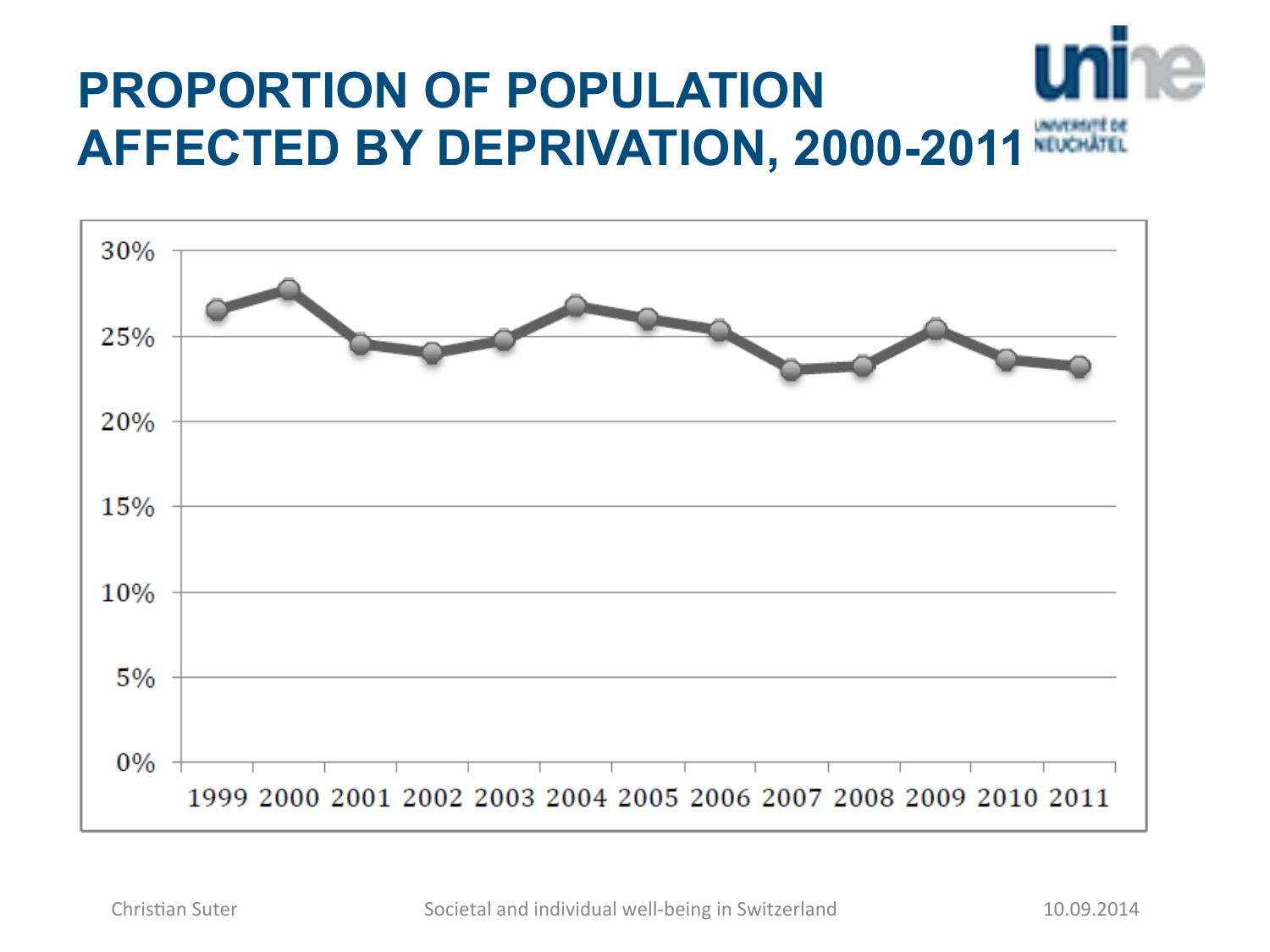## **PROPORTION OF POPULATION AFFECTED BY DEPRIVATION, 2000-2011 WEDGUTER**

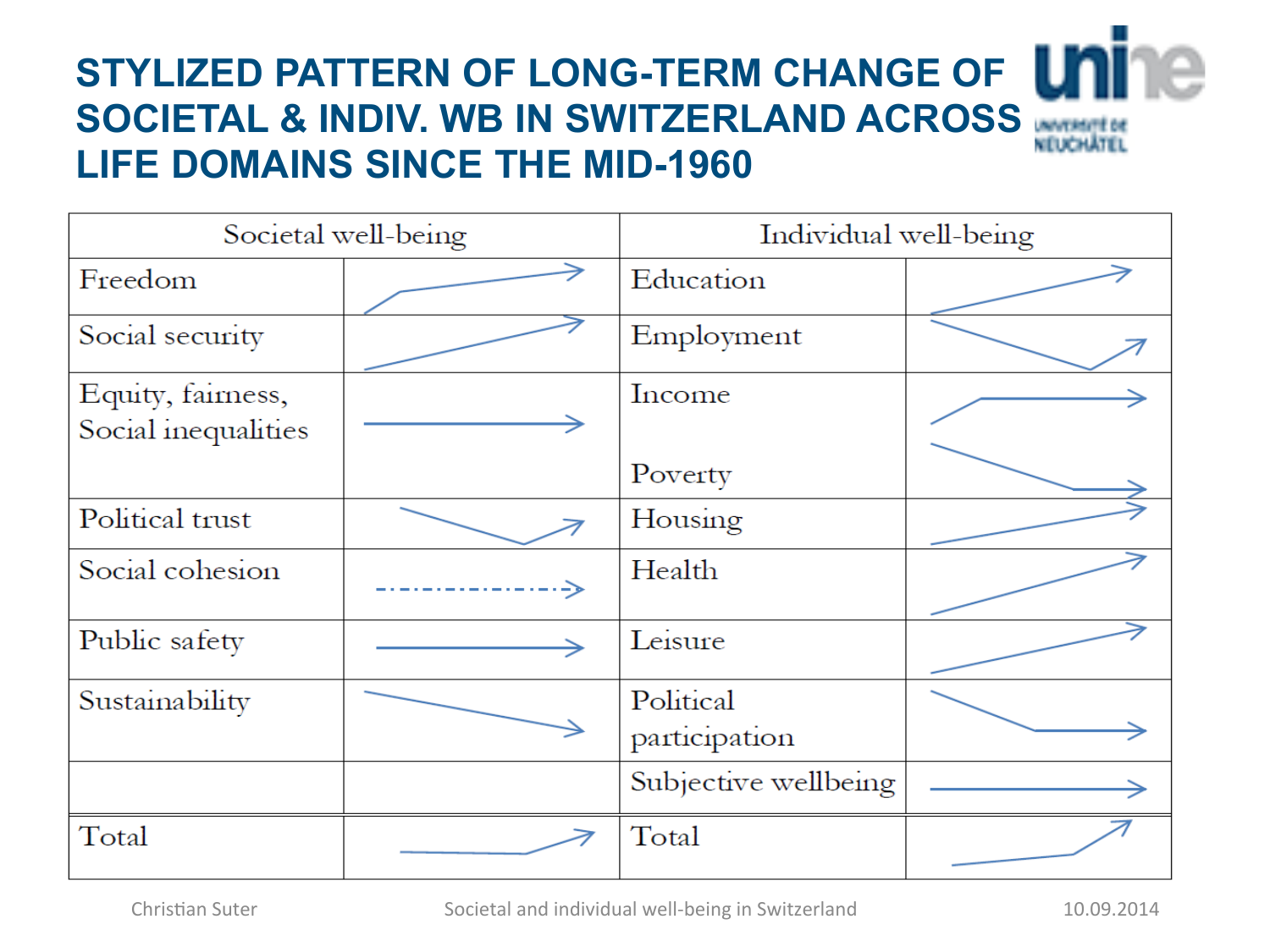#### **STYLIZED PATTERN OF LONG-TERM CHANGE OF SOCIETAL & INDIV. WB IN SWITZERLAND ACROSS LIFE DOMAINS SINCE THE MID-1960**

| Societal well-being                      |  | Individual well-being      |  |  |
|------------------------------------------|--|----------------------------|--|--|
| Freedom                                  |  | Education                  |  |  |
| Social security                          |  | Employment                 |  |  |
| Equity, fairness,<br>Social inequalities |  | Income                     |  |  |
|                                          |  | Poverty                    |  |  |
| Political trust                          |  | Housing                    |  |  |
| Social cohesion                          |  | Health                     |  |  |
| Public safety                            |  | Leisure                    |  |  |
| Sustainability                           |  | Political<br>participation |  |  |
|                                          |  | Subjective wellbeing       |  |  |
| Total                                    |  | Total                      |  |  |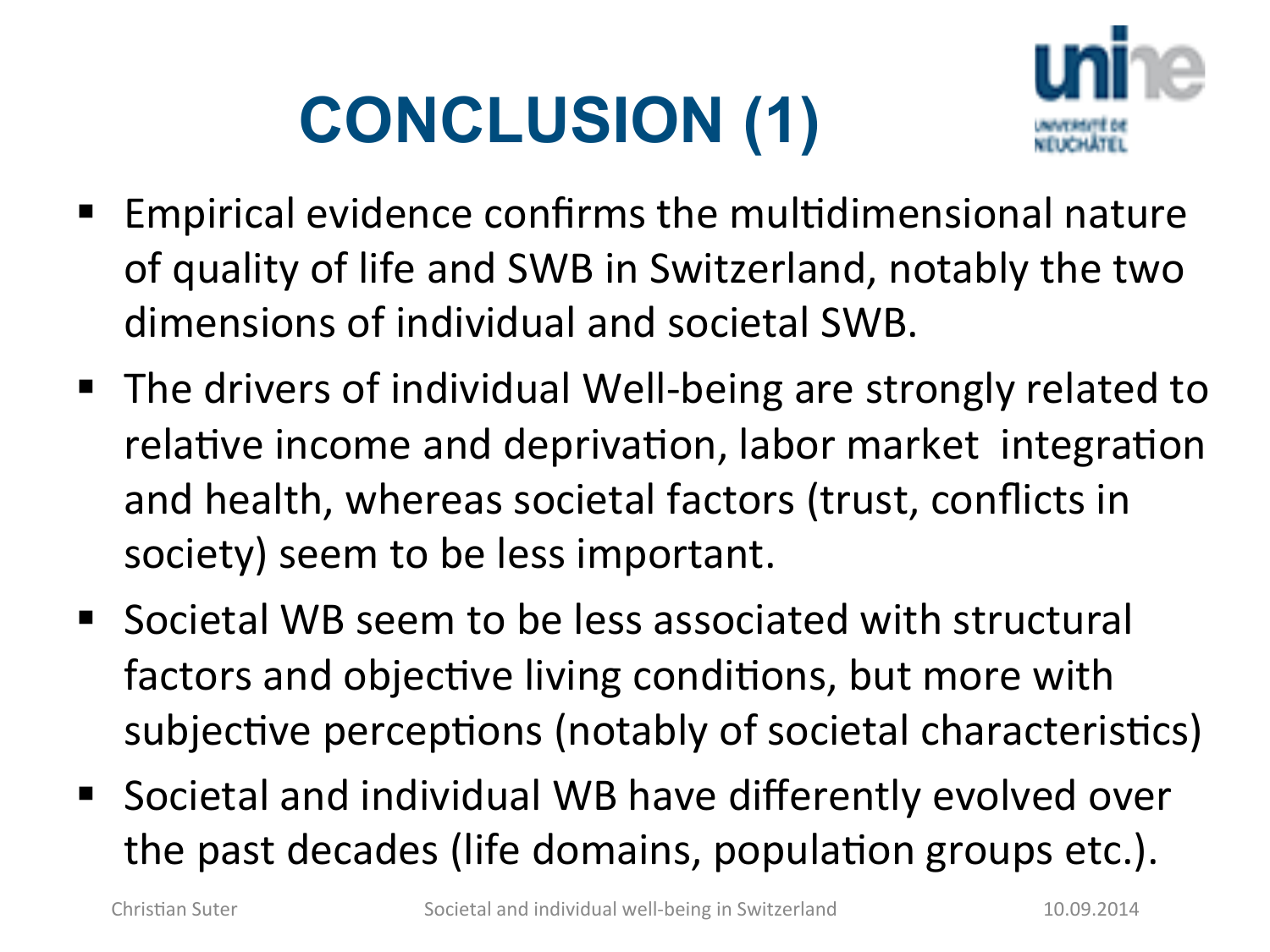# **CONCLUSION (1)**



- **Empirical evidence confirms the multidimensional nature** of quality of life and SWB in Switzerland, notably the two dimensions of individual and societal SWB.
- The drivers of individual Well-being are strongly related to relative income and deprivation, labor market integration and health, whereas societal factors (trust, conflicts in society) seem to be less important.
- Societal WB seem to be less associated with structural factors and objective living conditions, but more with subjective perceptions (notably of societal characteristics)
- Societal and individual WB have differently evolved over the past decades (life domains, population groups etc.).